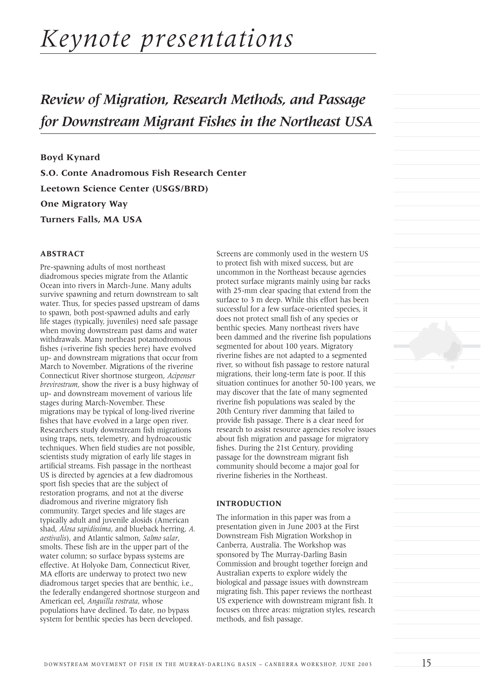# *Keynote presentations*

# *Review of Migration, Research Methods, and Passage for Downstream Migrant Fishes in the Northeast USA*

**Boyd Kynard S.O. Conte Anadromous Fish Research Center Leetown Science Center (USGS/BRD) One Migratory Way Turners Falls, MA USA**

## **ABSTRACT**

Pre-spawning adults of most northeast diadromous species migrate from the Atlantic Ocean into rivers in March-June. Many adults survive spawning and return downstream to salt water. Thus, for species passed upstream of dams to spawn, both post-spawned adults and early life stages (typically, juveniles) need safe passage when moving downstream past dams and water withdrawals. Many northeast potamodromous fishes (=riverine fish species here) have evolved up- and downstream migrations that occur from March to November. Migrations of the riverine Connecticut River shortnose sturgeon, *Acipenser brevirostrum*, show the river is a busy highway of up- and downstream movement of various life stages during March-November. These migrations may be typical of long-lived riverine fishes that have evolved in a large open river. Researchers study downstream fish migrations using traps, nets, telemetry, and hydroacoustic techniques. When field studies are not possible, scientists study migration of early life stages in artificial streams. Fish passage in the northeast US is directed by agencies at a few diadromous sport fish species that are the subject of restoration programs, and not at the diverse diadromous and riverine migratory fish community. Target species and life stages are typically adult and juvenile alosids (American shad, *Alosa sapidissima*, and blueback herring, *A. aestivalis*), and Atlantic salmon, *Salmo salar*, smolts. These fish are in the upper part of the water column; so surface bypass systems are effective. At Holyoke Dam, Connecticut River, MA efforts are underway to protect two new diadromous target species that are benthic, i.e., the federally endangered shortnose sturgeon and American eel, *Anguilla rostrata*, whose populations have declined. To date, no bypass system for benthic species has been developed.

Screens are commonly used in the western US to protect fish with mixed success, but are uncommon in the Northeast because agencies protect surface migrants mainly using bar racks with 25-mm clear spacing that extend from the surface to 3 m deep. While this effort has been successful for a few surface-oriented species, it does not protect small fish of any species or benthic species. Many northeast rivers have been dammed and the riverine fish populations segmented for about 100 years. Migratory riverine fishes are not adapted to a segmented river, so without fish passage to restore natural migrations, their long-term fate is poor. If this situation continues for another 50-100 years, we may discover that the fate of many segmented riverine fish populations was sealed by the 20th Century river damming that failed to provide fish passage. There is a clear need for research to assist resource agencies resolve issues about fish migration and passage for migratory fishes. During the 21st Century, providing passage for the downstream migrant fish community should become a major goal for riverine fisheries in the Northeast.

#### **INTRODUCTION**

The information in this paper was from a presentation given in June 2003 at the First Downstream Fish Migration Workshop in Canberra, Australia. The Workshop was sponsored by The Murray-Darling Basin Commission and brought together foreign and Australian experts to explore widely the biological and passage issues with downstream migrating fish. This paper reviews the northeast US experience with downstream migrant fish. It focuses on three areas: migration styles, research methods, and fish passage.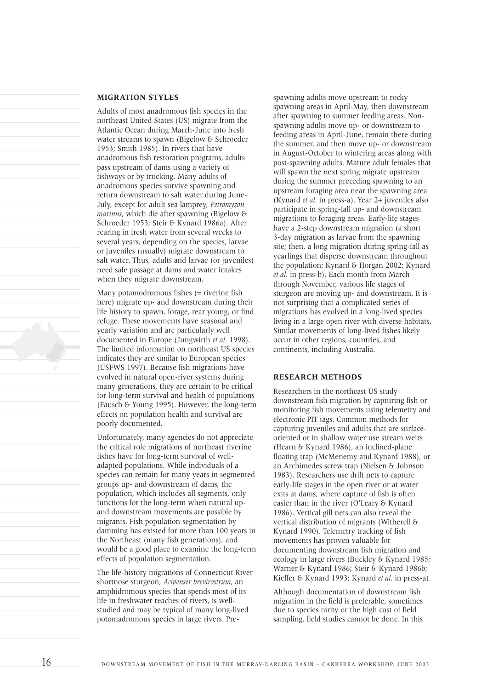# **MIGRATION STYLES**

Adults of most anadromous fish species in the northeast United States (US) migrate from the Atlantic Ocean during March-June into fresh water streams to spawn (Bigelow & Schroeder 1953; Smith 1985). In rivers that have anadromous fish restoration programs, adults pass upstream of dams using a variety of fishways or by trucking. Many adults of anadromous species survive spawning and return downstream to salt water during June-July, except for adult sea lamprey, *Petromyzon marinus*, which die after spawning (Bigelow & Schroeder 1953; Steir & Kynard 1986a). After rearing in fresh water from several weeks to several years, depending on the species, larvae or juveniles (usually) migrate downstream to salt water. Thus, adults and larvae (or juveniles) need safe passage at dams and water intakes when they migrate downstream.

Many potamodromous fishes (= riverine fish here) migrate up- and downstream during their life history to spawn, forage, rear young, or find refuge. These movements have seasonal and yearly variation and are particularly well documented in Europe (Jungwirth *et al*. 1998). The limited information on northeast US species indicates they are similar to European species (USFWS 1997). Because fish migrations have evolved in natural open-river systems during many generations, they are certain to be critical for long-term survival and health of populations (Fausch & Young 1995). However, the long-term effects on population health and survival are poorly documented.

Unfortunately, many agencies do not appreciate the critical role migrations of northeast riverine fishes have for long-term survival of welladapted populations. While individuals of a species can remain for many years in segmented groups up- and downstream of dams, the population, which includes all segments, only functions for the long-term when natural upand downstream movements are possible by migrants. Fish population segmentation by damming has existed for more than 100 years in the Northeast (many fish generations), and would be a good place to examine the long-term effects of population segmentation.

The life-history migrations of Connecticut River shortnose sturgeon, *Acipenser brevirostrum*, an amphidromous species that spends most of its life in freshwater reaches of rivers, is wellstudied and may be typical of many long-lived potomadromous species in large rivers. Prespawning adults move upstream to rocky spawning areas in April-May, then downstream after spawning to summer feeding areas. Nonspawning adults move up- or downstream to feeding areas in April-June, remain there during the summer, and then move up- or downstream in August-October to wintering areas along with post-spawning adults. Mature adult females that will spawn the next spring migrate upstream during the summer preceding spawning to an upstream foraging area near the spawning area (Kynard *et al*. in press-a). Year 2+ juveniles also participate in spring-fall up- and downstream migrations to foraging areas. Early-life stages have a 2-step downstream migration (a short 3-day migration as larvae from the spawning site; then, a long migration during spring-fall as yearlings that disperse downstream throughout the population; Kynard & Horgan 2002; Kynard *et al*. in press-b). Each month from March through November, various life stages of sturgeon are moving up- and downstream. It is not surprising that a complicated series of migrations has evolved in a long-lived species living in a large open river with diverse habitats. Similar movements of long-lived fishes likely occur in other regions, countries, and continents, including Australia.

### **RESEARCH METHODS**

Researchers in the northeast US study downstream fish migration by capturing fish or monitoring fish movements using telemetry and electronic PIT tags. Common methods for capturing juveniles and adults that are surfaceoriented or in shallow water use stream weirs (Hearn & Kynard 1986), an inclined-plane floating trap (McMenemy and Kynard 1988), or an Archimedes screw trap (Nielsen & Johnson 1983). Researchers use drift nets to capture early-life stages in the open river or at water exits at dams, where capture of fish is often easier than in the river (O'Leary & Kynard 1986). Vertical gill nets can also reveal the vertical distribution of migrants (Witherell & Kynard 1990). Telemetry tracking of fish movements has proven valuable for documenting downstream fish migration and ecology in large rivers (Buckley & Kynard 1985; Warner & Kynard 1986; Steir & Kynard 1986b; Kieffer & Kynard 1993; Kynard *et al*. in press-a).

Although documentation of downstream fish migration in the field is preferable, sometimes due to species rarity or the high cost of field sampling, field studies cannot be done. In this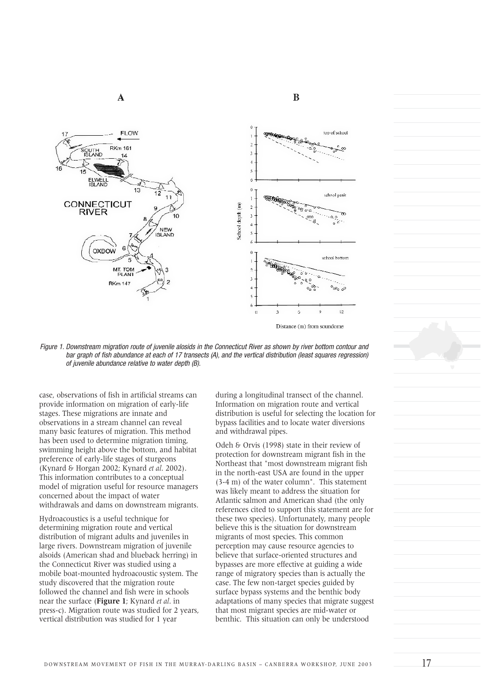





*Figure 1. Downstream migration route of juvenile alosids in the Connecticut River as shown by river bottom contour and bar graph of fish abundance at each of 17 transects (A), and the vertical distribution (least squares regression) of juvenile abundance relative to water depth (B).*

case, observations of fish in artificial streams can provide information on migration of early-life stages. These migrations are innate and observations in a stream channel can reveal many basic features of migration. This method has been used to determine migration timing, swimming height above the bottom, and habitat preference of early-life stages of sturgeons (Kynard & Horgan 2002; Kynard *et al*. 2002). This information contributes to a conceptual model of migration useful for resource managers concerned about the impact of water withdrawals and dams on downstream migrants.

Hydroacoustics is a useful technique for determining migration route and vertical distribution of migrant adults and juveniles in large rivers. Downstream migration of juvenile alsoids (American shad and blueback herring) in the Connecticut River was studied using a mobile boat-mounted hydroacoustic system. The study discovered that the migration route followed the channel and fish were in schools near the surface (**Figure 1**; Kynard *et al*. in press-c). Migration route was studied for 2 years, vertical distribution was studied for 1 year

during a longitudinal transect of the channel. Information on migration route and vertical distribution is useful for selecting the location for bypass facilities and to locate water diversions and withdrawal pipes.

Odeh & Orvis (1998) state in their review of protection for downstream migrant fish in the Northeast that "most downstream migrant fish in the north-east USA are found in the upper (3-4 m) of the water column". This statement was likely meant to address the situation for Atlantic salmon and American shad (the only references cited to support this statement are for these two species). Unfortunately, many people believe this is the situation for downstream migrants of most species. This common perception may cause resource agencies to believe that surface-oriented structures and bypasses are more effective at guiding a wide range of migratory species than is actually the case. The few non-target species guided by surface bypass systems and the benthic body adaptations of many species that migrate suggest that most migrant species are mid-water or benthic. This situation can only be understood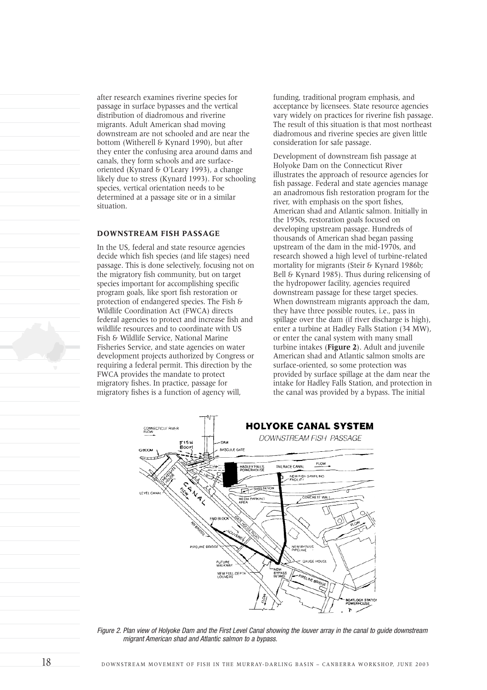after research examines riverine species for passage in surface bypasses and the vertical distribution of diadromous and riverine migrants. Adult American shad moving downstream are not schooled and are near the bottom (Witherell & Kynard 1990), but after they enter the confusing area around dams and canals, they form schools and are surfaceoriented (Kynard & O'Leary 1993), a change likely due to stress (Kynard 1993). For schooling species, vertical orientation needs to be determined at a passage site or in a similar situation.

### **DOWNSTREAM FISH PASSAGE**

In the US, federal and state resource agencies decide which fish species (and life stages) need passage. This is done selectively, focusing not on the migratory fish community, but on target species important for accomplishing specific program goals, like sport fish restoration or protection of endangered species. The Fish & Wildlife Coordination Act (FWCA) directs federal agencies to protect and increase fish and wildlife resources and to coordinate with US Fish & Wildlife Service, National Marine Fisheries Service, and state agencies on water development projects authorized by Congress or requiring a federal permit. This direction by the FWCA provides the mandate to protect migratory fishes. In practice, passage for migratory fishes is a function of agency will,

funding, traditional program emphasis, and acceptance by licensees. State resource agencies vary widely on practices for riverine fish passage. The result of this situation is that most northeast diadromous and riverine species are given little consideration for safe passage.

Development of downstream fish passage at Holyoke Dam on the Connecticut River illustrates the approach of resource agencies for fish passage. Federal and state agencies manage an anadromous fish restoration program for the river, with emphasis on the sport fishes, American shad and Atlantic salmon. Initially in the 1950s, restoration goals focused on developing upstream passage. Hundreds of thousands of American shad began passing upstream of the dam in the mid-1970s, and research showed a high level of turbine-related mortality for migrants (Steir & Kynard 1986b; Bell & Kynard 1985). Thus during relicensing of the hydropower facility, agencies required downstream passage for these target species. When downstream migrants approach the dam, they have three possible routes, i.e., pass in spillage over the dam (if river discharge is high). enter a turbine at Hadley Falls Station (34 MW), or enter the canal system with many small turbine intakes (**Figure 2**). Adult and juvenile American shad and Atlantic salmon smolts are surface-oriented, so some protection was provided by surface spillage at the dam near the intake for Hadley Falls Station, and protection in the canal was provided by a bypass. The initial



*Figure 2. Plan view of Holyoke Dam and the First Level Canal showing the louver array in the canal to guide downstream migrant American shad and Atlantic salmon to a bypass.*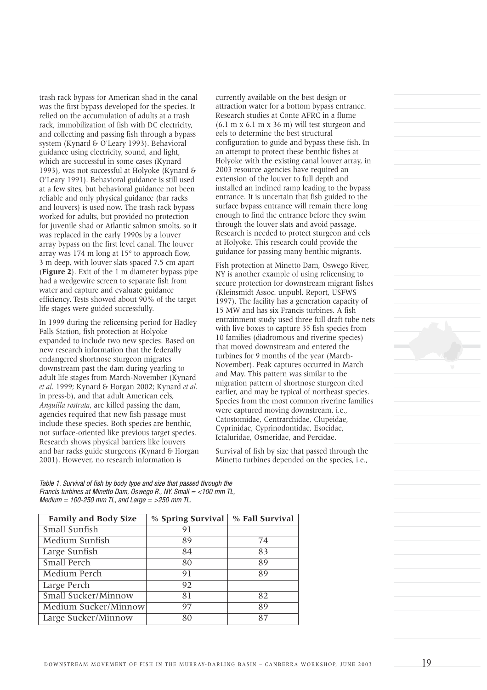trash rack bypass for American shad in the canal was the first bypass developed for the species. It relied on the accumulation of adults at a trash rack, immobilization of fish with DC electricity, and collecting and passing fish through a bypass system (Kynard & O'Leary 1993). Behavioral guidance using electricity, sound, and light, which are successful in some cases (Kynard 1993), was not successful at Holyoke (Kynard & O'Leary 1991). Behavioral guidance is still used at a few sites, but behavioral guidance not been reliable and only physical guidance (bar racks and louvers) is used now. The trash rack bypass worked for adults, but provided no protection for juvenile shad or Atlantic salmon smolts, so it was replaced in the early 1990s by a louver array bypass on the first level canal. The louver array was 174 m long at 15° to approach flow, 3 m deep, with louver slats spaced 7.5 cm apart (**Figure 2**). Exit of the 1 m diameter bypass pipe had a wedgewire screen to separate fish from water and capture and evaluate guidance efficiency. Tests showed about 90% of the target life stages were guided successfully.

In 1999 during the relicensing period for Hadley Falls Station, fish protection at Holyoke expanded to include two new species. Based on new research information that the federally endangered shortnose sturgeon migrates downstream past the dam during yearling to adult life stages from March-November (Kynard *et al*. 1999; Kynard & Horgan 2002; Kynard *et al*. in press-b), and that adult American eels, *Anguilla rostrata*, are killed passing the dam, agencies required that new fish passage must include these species. Both species are benthic, not surface-oriented like previous target species. Research shows physical barriers like louvers and bar racks guide sturgeons (Kynard & Horgan 2001). However, no research information is

currently available on the best design or attraction water for a bottom bypass entrance. Research studies at Conte AFRC in a flume  $(6.1 \text{ m} \times 6.1 \text{ m} \times 36 \text{ m})$  will test sturgeon and eels to determine the best structural configuration to guide and bypass these fish. In an attempt to protect these benthic fishes at Holyoke with the existing canal louver array, in 2003 resource agencies have required an extension of the louver to full depth and installed an inclined ramp leading to the bypass entrance. It is uncertain that fish guided to the surface bypass entrance will remain there long enough to find the entrance before they swim through the louver slats and avoid passage. Research is needed to protect sturgeon and eels at Holyoke. This research could provide the guidance for passing many benthic migrants.

Fish protection at Minetto Dam, Oswego River, NY is another example of using relicensing to secure protection for downstream migrant fishes (Kleinsmidt Assoc. unpubl. Report, USFWS 1997). The facility has a generation capacity of 15 MW and has six Francis turbines. A fish entrainment study used three full draft tube nets with live boxes to capture 35 fish species from 10 families (diadromous and riverine species) that moved downstream and entered the turbines for 9 months of the year (March-November). Peak captures occurred in March and May. This pattern was similar to the migration pattern of shortnose sturgeon cited earlier, and may be typical of northeast species. Species from the most common riverine families were captured moving downstream, i.e., Catostomidae, Centrarchidae, Clupeidae, Cyprinidae, Cyprinodontidae, Esocidae, Ictaluridae, Osmeridae, and Percidae.

Survival of fish by size that passed through the Minetto turbines depended on the species, i.e.,

*Table 1. Survival of fish by body type and size that passed through the Francis turbines at Minetto Dam, Oswego R., NY. Small = <100 mm TL, Medium = 100-250 mm TL, and Large = >250 mm TL.*

| <b>Family and Body Size</b> | % Spring Survival | % Fall Survival |
|-----------------------------|-------------------|-----------------|
| Small Sunfish               | 91                |                 |
| Medium Sunfish              | 89                | 74              |
| Large Sunfish               | 84                | 83              |
| Small Perch                 | 80                | 89              |
| Medium Perch                | 91                | 89              |
| Large Perch                 | 92                |                 |
| Small Sucker/Minnow         | 81                | 82              |
| Medium Sucker/Minnow        | 97                | 89              |
| Large Sucker/Minnow         | 80                | 87              |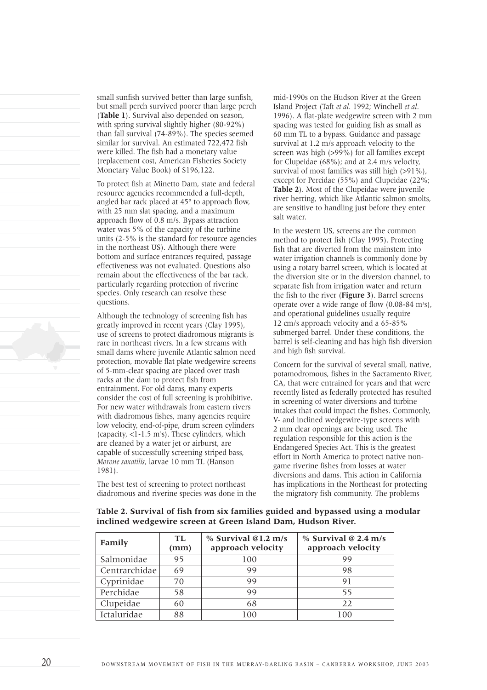small sunfish survived better than large sunfish, but small perch survived poorer than large perch (**Table 1**). Survival also depended on season, with spring survival slightly higher (80-92%) than fall survival (74-89%). The species seemed similar for survival. An estimated 722,472 fish were killed. The fish had a monetary value (replacement cost, American Fisheries Society Monetary Value Book) of \$196,122.

To protect fish at Minetto Dam, state and federal resource agencies recommended a full-depth, angled bar rack placed at 45° to approach flow, with 25 mm slat spacing, and a maximum approach flow of 0.8 m/s. Bypass attraction water was 5% of the capacity of the turbine units (2-5% is the standard for resource agencies in the northeast US). Although there were bottom and surface entrances required, passage effectiveness was not evaluated. Questions also remain about the effectiveness of the bar rack, particularly regarding protection of riverine species. Only research can resolve these questions.

Although the technology of screening fish has greatly improved in recent years (Clay 1995), use of screens to protect diadromous migrants is rare in northeast rivers. In a few streams with small dams where juvenile Atlantic salmon need protection, movable flat plate wedgewire screens of 5-mm-clear spacing are placed over trash racks at the dam to protect fish from entrainment. For old dams, many experts consider the cost of full screening is prohibitive. For new water withdrawals from eastern rivers with diadromous fishes, many agencies require low velocity, end-of-pipe, drum screen cylinders  $(capacity, <1-1.5 m<sup>3</sup>s)$ . These cylinders, which are cleaned by a water jet or airburst, are capable of successfully screening striped bass, *Morone saxatilis*, larvae 10 mm TL (Hanson 1981).

The best test of screening to protect northeast diadromous and riverine species was done in the mid-1990s on the Hudson River at the Green Island Project (Taft *et al*. 1992; Winchell *et al*. 1996). A flat-plate wedgewire screen with 2 mm spacing was tested for guiding fish as small as 60 mm TL to a bypass. Guidance and passage survival at 1.2 m/s approach velocity to the screen was high (>99%) for all families except for Clupeidae (68%); and at 2.4 m/s velocity, survival of most families was still high (>91%), except for Percidae (55%) and Clupeidae (22%; **Table 2**). Most of the Clupeidae were juvenile river herring, which like Atlantic salmon smolts, are sensitive to handling just before they enter salt water.

In the western US, screens are the common method to protect fish (Clay 1995). Protecting fish that are diverted from the mainstem into water irrigation channels is commonly done by using a rotary barrel screen, which is located at the diversion site or in the diversion channel, to separate fish from irrigation water and return the fish to the river (**Figure 3**). Barrel screens operate over a wide range of flow  $(0.08-84 \text{ m/s})$ , and operational guidelines usually require 12 cm/s approach velocity and a 65-85% submerged barrel. Under these conditions, the barrel is self-cleaning and has high fish diversion and high fish survival.

Concern for the survival of several small, native, potamodromous, fishes in the Sacramento River, CA, that were entrained for years and that were recently listed as federally protected has resulted in screening of water diversions and turbine intakes that could impact the fishes. Commonly, V- and inclined wedgewire-type screens with 2 mm clear openings are being used. The regulation responsible for this action is the Endangered Species Act. This is the greatest effort in North America to protect native nongame riverine fishes from losses at water diversions and dams. This action in California has implications in the Northeast for protecting the migratory fish community. The problems

| Family        | TL<br>(mm) | % Survival @1.2 m/s<br>approach velocity | $%$ Survival @ 2.4 m/s<br>approach velocity |
|---------------|------------|------------------------------------------|---------------------------------------------|
| Salmonidae    | 95         | 100                                      | 99                                          |
| Centrarchidae | 69         | 99                                       | 98                                          |
| Cyprinidae    | 70         | 99                                       | 91                                          |
| Perchidae     | 58         | 99                                       | 55                                          |
| Clupeidae     | 60         | 68                                       | 22                                          |
| Ictaluridae   | 88         | 100                                      | 100                                         |

**Table 2. Survival of fish from six families guided and bypassed using a modular inclined wedgewire screen at Green Island Dam, Hudson River.**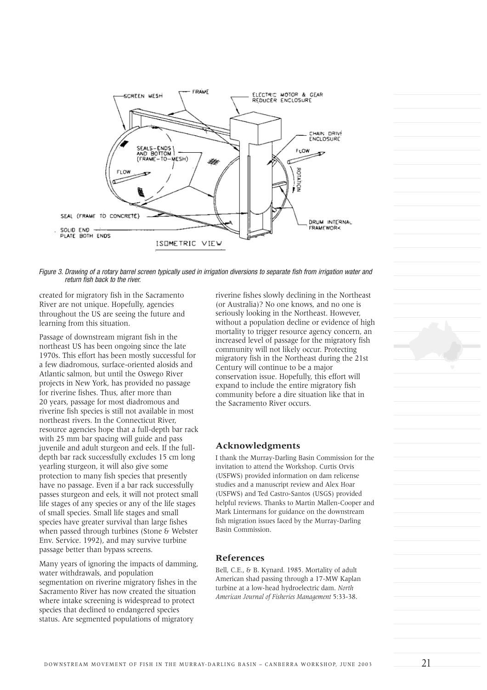

*Figure 3. Drawing of a rotary barrel screen typically used in irrigation diversions to separate fish from irrigation water and return fish back to the river.*

created for migratory fish in the Sacramento River are not unique. Hopefully, agencies throughout the US are seeing the future and learning from this situation.

Passage of downstream migrant fish in the northeast US has been ongoing since the late 1970s. This effort has been mostly successful for a few diadromous, surface-oriented alosids and Atlantic salmon, but until the Oswego River projects in New York, has provided no passage for riverine fishes. Thus, after more than 20 years, passage for most diadromous and riverine fish species is still not available in most northeast rivers. In the Connecticut River, resource agencies hope that a full-depth bar rack with 25 mm bar spacing will guide and pass juvenile and adult sturgeon and eels. If the fulldepth bar rack successfully excludes 15 cm long yearling sturgeon, it will also give some protection to many fish species that presently have no passage. Even if a bar rack successfully passes sturgeon and eels, it will not protect small life stages of any species or any of the life stages of small species. Small life stages and small species have greater survival than large fishes when passed through turbines (Stone & Webster Env. Service. 1992), and may survive turbine passage better than bypass screens.

Many years of ignoring the impacts of damming, water withdrawals, and population segmentation on riverine migratory fishes in the Sacramento River has now created the situation where intake screening is widespread to protect species that declined to endangered species status. Are segmented populations of migratory

riverine fishes slowly declining in the Northeast (or Australia)? No one knows, and no one is seriously looking in the Northeast. However, without a population decline or evidence of high mortality to trigger resource agency concern, an increased level of passage for the migratory fish community will not likely occur. Protecting migratory fish in the Northeast during the 21st Century will continue to be a major conservation issue. Hopefully, this effort will expand to include the entire migratory fish community before a dire situation like that in the Sacramento River occurs.

# **Acknowledgments**

I thank the Murray-Darling Basin Commission for the invitation to attend the Workshop. Curtis Orvis (USFWS) provided information on dam relicense studies and a manuscript review and Alex Hoar (USFWS) and Ted Castro-Santos (USGS) provided helpful reviews. Thanks to Martin Mallen-Cooper and Mark Lintermans for guidance on the downstream fish migration issues faced by the Murray-Darling Basin Commission.

# **References**

Bell, C.E., & B. Kynard. 1985. Mortality of adult American shad passing through a 17-MW Kaplan turbine at a low-head hydroelectric dam. *North American Journal of Fisheries Management* 5:33-38.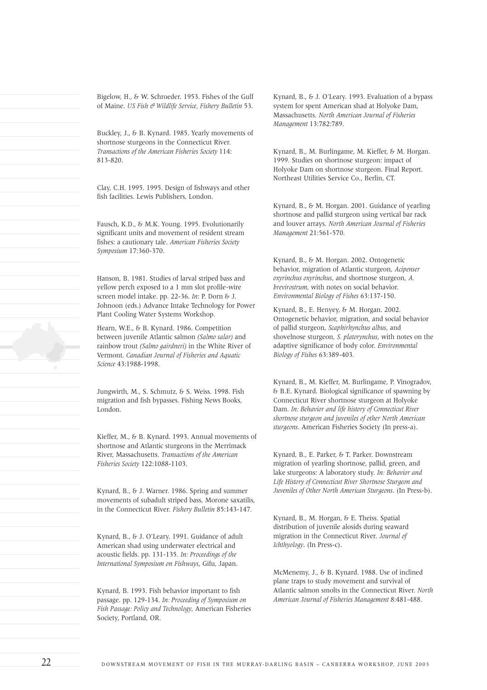Bigelow, H., & W. Schroeder. 1953. Fishes of the Gulf of Maine. *US Fish & Wildlife Service, Fishery Bulletin* 53.

Buckley, J., & B. Kynard. 1985. Yearly movements of shortnose sturgeons in the Connecticut River. *Transactions of the American Fisheries Society* 114: 813-820.

Clay, C.H. 1995. 1995. Design of fishways and other fish facilities. Lewis Publishers, London.

Fausch, K.D., & M.K. Young. 1995. Evolutionarily significant units and movement of resident stream fishes: a cautionary tale. *American Fisheries Society Symposium* 17:360-370.

Hanson, B. 1981. Studies of larval striped bass and yellow perch exposed to a 1 mm slot profile-wire screen model intake. pp. 22-36. *In*: P. Dorn & J. Johnoon (eds.) Advance Intake Technology for Power Plant Cooling Water Systems Workshop.

Hearn, W.E., & B. Kynard. 1986. Competition between juvenile Atlantic salmon *(Salmo salar)* and rainbow trout *(Salmo gairdneri)* in the White River of Vermont. *Canadian Journal of Fisheries and Aquatic Science* 43:1988-1998.

Jungwirth, M., S. Schmutz, & S. Weiss. 1998. Fish migration and fish bypasses. Fishing News Books, London.

Kieffer, M., & B. Kynard. 1993. Annual movements of shortnose and Atlantic sturgeons in the Merrimack River, Massachusetts. *Transactions of the American Fisheries Society* 122:1088-1103.

Kynard, B., & J. Warner. 1986. Spring and summer movements of subadult striped bass, Morone saxatilis, in the Connecticut River. *Fishery Bulletin* 85:143-147.

Kynard, B., & J. O'Leary. 1991. Guidance of adult American shad using underwater electrical and acoustic fields. pp. 131-135. *In: Proceedings of the International Symposium on Fishways*, Gifu, Japan.

Kynard, B. 1993. Fish behavior important to fish passage. pp. 129-134. *In: Proceeding of Symposium on Fish Passage: Policy and Technology*, American Fisheries Society, Portland, OR.

Kynard, B., & J. O'Leary. 1993. Evaluation of a bypass system for spent American shad at Holyoke Dam, Massachusetts. *North American Journal of Fisheries Management* 13:782:789.

Kynard, B., M. Burlingame, M. Kieffer, & M. Horgan. 1999. Studies on shortnose sturgeon: impact of Holyoke Dam on shortnose sturgeon. Final Report. Northeast Utilities Service Co., Berlin, CT.

Kynard, B., & M. Horgan. 2001. Guidance of yearling shortnose and pallid sturgeon using vertical bar rack and louver arrays. *North American Journal of Fisheries Management* 21:561-570.

Kynard, B., & M. Horgan. 2002. Ontogenetic behavior, migration of Atlantic sturgeon, *Acipenser oxyrinchus oxyrinchus*, and shortnose sturgeon, *A. brevirostrum*, with notes on social behavior. *Environmental Biology of Fishes* 63:137-150.

Kynard, B., E. Henyey, & M. Horgan. 2002. Ontogenetic behavior, migration, and social behavior of pallid sturgeon, *Scaphirhynchus albus*, and shovelnose sturgeon, *S. platorynchus*, with notes on the adaptive significance of body color. *Environmental Biology of Fishes* 63:389-403.

Kynard, B., M. Kieffer, M. Burlingame, P. Vinogradov, & B.E. Kynard. Biological significance of spawning by Connecticut River shortnose sturgeon at Holyoke Dam. *In: Behavior and life history of Connecticut River shortnose sturgeon and juveniles of other North American sturgeons*. American Fisheries Society (In press-a).

Kynard, B., E. Parker, & T. Parker. Downstream migration of yearling shortnose, pallid, green, and lake sturgeons: A laboratory study. *In: Behavior and Life History of Connecticut River Shortnose Sturgeon and Juveniles of Other North American Sturgeons*. (In Press-b).

Kynard, B., M. Horgan, & E. Theiss. Spatial distribution of juvenile alosids during seaward migration in the Connecticut River. *Journal of Ichthyology*. (In Press-c).

McMenemy, J., & B. Kynard. 1988. Use of inclined plane traps to study movement and survival of Atlantic salmon smolts in the Connecticut River. *North American Journal of Fisheries Management* 8:481-488.